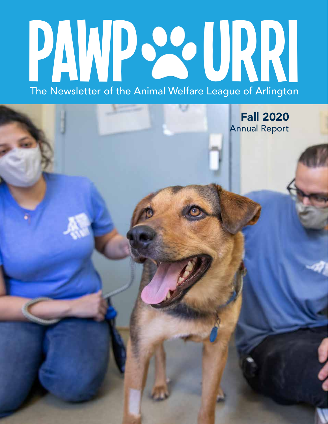# The Newsletter of the Animal Welfare League of Arlington PAWP 22 URRI

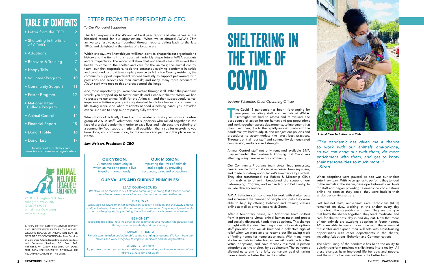## TABLE Of CONTENTS

| • Letter from the CEO                | 2  |
|--------------------------------------|----|
| • Sheltering in the time<br>of COVID | 3  |
| • Adoptions                          | 6  |
| • Behavior & Training                | 7  |
| • Happy Tails                        | 8  |
| · Volunteer Program                  | 10 |
| • Community Support                  | 11 |
| • Foster Program                     | 12 |
| · National Kitten<br>College Program | 13 |
| • Animal Control                     | 14 |
| · Financial Report                   | 15 |
| · Donor Profile                      | 16 |
|                                      |    |

2650 S. Arlington Mill Drive Arlington, VA 22206 (703) 931.9241 e-mail: mail@awla.org www.awla.org

The Covid-19 pandemic has been life-changing for<br>everyone, including staff and animals at AWLA.<br>Overnight, we had to assess and re-evaluate the<br>best course of action for our human and pet populations **he Covid-19 pandemic has been life-changing for** everyone, including staff and animals at AWLA. Overnight, we had to assess and re-evaluate the and work together, across departments, to implement that plan. Even then, due to the rapidly-evolving nature of the pandemic, we had to adjust, and readjust our policies and procedures to accommodate the latest best practices. Throughout it all, our staff and community demonstrated compassion, resilience and strength.

Animal Control staff not only remained available 24/7, they expanded their outreach, knowing that Covid was affecting many families in our community.

Our Community Programs team streamlined processes, created online forms that can be accessed from anywhere, and made our always-popular kid's summer camps virtual. They also transformed our Rabies & Microchip Clinic from walk-in to drive-in, broadened the scope of our Safekeeping Program, and expanded our Pet Pantry to include delivery service.

AWLA Behavior staff continued to work with shelter pets and increased the number of people and pets they were able to help by offering behavior and training classes online as well as private lessons via Zoom.

After a temporary pause, our Adoptions team shifted from in-person to virtual animal-human meet-and-greets and socially-distanced, hands-free adoptions. This change brought with it a steep learning curve, but our Adoptions staff prevailed and we all breathed a collective sigh of relief when we were able to resume our life-saving work of finding homes for homeless animals. With many more shelter animals in foster homes, we will continue to offer virtual adoptions, and have recently resumed in-person adoptions at the shelter, by appointment.The pandemic allowed us to aim for a lofty permanent goal of having more animals in foster than in the shelter.

When adoptions were paused, so too was our shelter veterinary team. With no surgeries to perform, they tended to the animals at the shelter, developed informational tools for staff and began providing telemedicine consultations online. As soon as they could, they were back in their scrubs performing surgery.

Last but not least, our Animal Care Technicians (ACTs) remained on duty, working at the shelter every day throughout the stay-at-home orders. They are the glue that holds the shelter together. They feed, medicate, and care for shelter pets, day in and day out. Now that more of our animals are awaiting adoption in foster homes, ACTs are able to spend more time with the animals at the shelter and expand their skill sets with cross-training opportunities with other departments in the shelter, including Adoptions, Behavior, and Communications.

The silver lining of the pandemic has been the ability to quickly transform previous wishlist items into a reality. All these changes have improved life for pets and people, and the world of animal welfare is the better for it.

We strive to be leaders in our field and community knowing that a leader pursues excellence, fosters innovation, and rises to the hardest challenges.

"The pandemic has given me a chance to work with our animals one-on-one, so we can hang out with them, do more enrichment with them, and get to know their personalities so much more. " - Kiran

## LETTER FROM THE PRESIDENT & CEO

#### To Our Wonderful Supporters,

The fall Pawpourri is AWLA's annual fiscal year report and also serves as the historical record for our organization. When we celebrated AWLA's 75th anniversary last year, staff combed through reports dating back to the late 1940s and delighted in the stories of a bygone era.

Which is to say…we know this year will mark a critical chapter in our organization's history and the items in this report will indelibly shape future AWLA accounts and retrospectives. The record will show that our animal care staff risked their health to come to the shelter and care for the animals; the animal control team, our first responders, took the constantly-evolving pandemic in stride and continued to provide exemplary service to Arlington County residents; the community support department worked tirelessly to support pet owners with provisions and services for their animals; and many, many more accounts of AWLA staff who rose to this unprecedented challenge.

And, most importantly, you were here with us through it all. When the pandemic struck, you stepped up to foster animals and clear our shelter. When we had to postpone our annual Walk for the Animals – and then subsequently cancel in-person activities – you graciously donated funds to allow us to continue our life-saving work. And when residents needed a helping hand, you provided critical supplies to keep our pet pantry fully stocked.

When the book is finally closed on this pandemic, history will show a fearless group of AWLA staff, volunteers, and supporters who rallied together in the face of a global pandemic in order to save lives and help ease the suffering of a community. Your support made it all possible – thank you for everything you have done, and continue to do, for the animals and people in this place we call Home.

### Sam Wolbert, President & CEO

A COPY OF THE LATEST FINANCIAL REPORT AND REGISTRATION FILED BY THE ANIMAL WELFARE LEAGUE OF ARLINGTON MAY BE OBTAINED BY CONTACTING the State Division of Consumer Affairs, Department of Agriculture and Consumer Services, P.O. Box 1163, Richmond, VA 23209. REGISTRATION DOES NOT IMPLY ENDORSEMENT, APPROVAL, OR RECOMMENDATION BY THE STATE.

To view shelter statistics and financials visit www.awla.org/about-us

• Donor List



### OUR VALUES AND GUIDING PRINCIPLES:

#### LEAD COURAGEOUSLY

#### DO GOOD

Encourage an environment of compassion, respect, kindness, and inclusivity among staff, volunteers, clients, and the community that we serve. Suspend judgment while acknowledging and appreciating the individuality of each person and animal.

#### BE HONEST

Recognize the critical role we serve in the community and maintain the public's trust through open accessibility and transparency.

#### EMBRACE CHANGE

Remain open-minded and adaptable to the changing landscape. We learn from our failures and work every day to improve ourselves and the organization.

#### WORK TOGETHER

Support each other by creating a positive, mission-driven, and team-centered culture. Above all, have fun and laugh.

#### OUR VISION: A humane community in which animals and people live together harmoniously.

OUR MISSION: Improving the lives of animals

and people by providing resources, care, and protection.

#### by Amy Schindler, Chief Operating Officer



Animal Care Tech Kiran and Tilda

# SHELTERING IN THE TIME OF COVID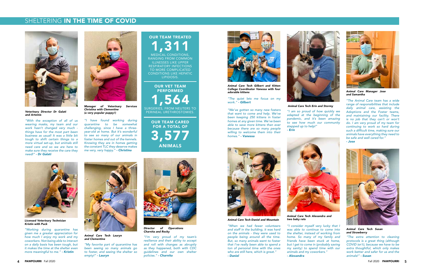"The Animal Care team has a wide range of responsibilities that include daily animal care, assisting the Adoptions and the Foster teams, and maintaining our facility. There is no job that they can't or won't do. I am very proud of my team for continuing to work so hard during such a difficult time, making sure our animals have everything they need to be safe and well cared for." - Jose



"Working during quarantine has given me a greater appreciation for how much I enjoy my work and my coworkers. Not being able to interact on a daily basis has been tough, but it makes the time at the shelter even more meaningful to me." - Kristin



"I am so proud of how quickly we adapted at the beginning of the pandemic, and it's been amazing to see how much our community stepped up to help!" - Erin

"With the exception of all of us wearing masks, my team and our work hasn't changed very much things have for the most part been business as usual! It was a little bit tough to shift certain things to a more virtual set-up, but animals still need care and so we are here to make sure they receive the care they need!" - Dr Galati

> "I consider myself very lucky that I was able to continue to come into the shelter, instead of working from home. So many of my family and friends have been stuck at home, but I get to come in (probably saving my sanity) to spend time with our

"I have found working during quarantine to be somewhat challenging, since I have a threeyear-old at home. But it's wonderful to see so many of our animals in foster homes and out of the kennels. Knowing they are in homes getting the constant TLC they deserve makes me very, very happy." - Christina

> animals and my coworkers." - Alexandra

"The extra attention to cleaning protocols is a great thing (although COVID isn't), because we have to be extra thoughtful, which only makes work better and safer for us and the animals!" - Susan

## OUR TEAM TREATED 1,311

MEDICAL CONDITIONS, RANGING FROM COMMON ILLNESSES LIKE UPPER RESPIRATORY INFECTIONS TO MORE COMPLICATED CONDITIONS LIKE HEPATIC LIPIDOSIS.

OUR VET TEAM PERFORMED 1,564

SURGERIES, FROM NEUTERS TO PERINEAL URETHROSTOMIES.

> OUR TEAM CARED FOR A TOTAL OF 3,577 ANIMALS

> > "When we had fewer volunteers and staff in the building, it was hard on the animals - they were used to people being around all the time. But, so many animals went to foster that I've really been able to spend a ton of personal time with the ones who are still here, which is great." - Daniel

"My favorite part of quarantine has been seeing so many animals go to foster, and seeing the shelter so empty!" - Lauryn



Animal Care Tech Daniel and Mountain

Animal Care Tech Lauryn and Clementine

Animal Care Tech Susan and Strawberry



Manager of Veterinary Services Christina with Clementine (a very popular puppy!)

"The quiet lets me focus on my work." - Gilbert

"We've gotten so many new fosters that want to come and help. We've been keeping 250 kittens in foster homes at any given time. We've been able to save more kittens than ever because there are so many people willing to welcome them into their homes." - Vanessa

"I'm very proud of my team's resilience and their ability to accept and roll with changes as abruptly as they happened, both with CDC quidelines and our own shelter policies." - Charnita



Animal Care Tech Gilbert and Kitten College Coordinator Vanessa with four adorable kittens



Animal Care Tech Erin and Stormy



Veterinary Director Dr Galati and Artemis



Licensed Veterinary Technician Kristin with Puck



Animal Care Tech Alexandra and two baby rats



Animal Care Manager Jose and Samantha



Director of Operations Charnita and Rocky

## SHELTERING IN THE TIME OF COVID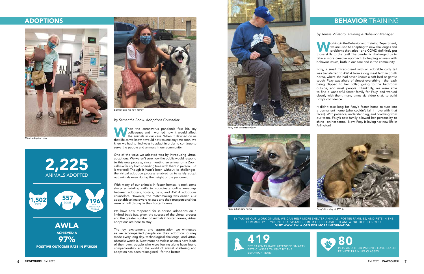



antley and his new family

When the coronavirus pandemic first hit, my colleagues and I worried how it would affect the animals in our care. When it dawned on us that life as we knew it would not resume anytime soon, we hen the coronavirus pandemic first hit, my colleagues and I worried how it would affect the animals in our care. When it dawned on us knew we had to find ways to adapt in order to continue to serve the people and animals in our community.

One of the ways we adapted was by introducing virtual adoptions. We weren't sure how the public would respond to this new process, since meeting an animal on a Zoom call is a far cry from spending time with them in person. But it worked! Though it hasn't been without its challenges, the virtual adoption process enabled us to safely adopt out animals even during the height of the pandemic.

With many of our animals in foster homes, it took some sharp scheduling skills to coordinate online meetings between adopters, fosters, pets, and AWLA adoptions counselors. However, the matchmaking was easier. Our adoptable animals were relaxed and their true personalities were on full display in their foster homes.

**W** orking in the Behavior and Training Department,<br>we are used to adapting to new challenges and<br>problems that arise - and COVID definitely put<br>those skills to the test! The pandemic challenged us to **Jorking in the Behavior and Training Department,** we are used to adapting to new challenges and problems that arise - and COVID definitely put take a more creative approach to helping animals with behavior issues, both in our care and in the community.

We have now reopened for in-person adoptions on a limited basis but, given the success of the virtual process and the greater number of animals in foster homes, virtual adoptions are here to stay!

The joy, excitement, and appreciation we witnessed as we accompanied people on their adoption journey made every long day, technological challenge, and virtual obstacle worth it. Now more homeless animals have beds of their own, people who were feeling alone have found companionship, and the world of animal sheltering and adoption has been reimagined - for the better.



with volunteer Gary

## ADOPTIONS

by Samantha Snow, Adoptions Counselor



Milo's adoption day



419 PET PARENTS HAVE ATTENDED SMARTY PETS CLASSES TAUGHT BY THE BEHAVIOR TEAM

## **BEHAVIOR TRAINING**

Foxy, a small mixed-breed with an adorable curly tail was transferred to AWLA from a dog meat farm in South Korea, where she had never known a soft bed or gentle touch. Foxy was afraid of almost everything - the leash being clipped to her collar, going to the bathroom outside, and most people. Thankfully, we were able to find a wonderful foster family for Foxy, and worked closely with them, many times via video chat, to build Foxy's confidence.

It didn't take long for Foxy's foster home to turn into a permanent home (who couldn't fall in love with that face?). With patience, understanding, and coaching from our team, Foxy's new family allowed her personality to shine - on her terms. Now, Foxy is loving her new life in Arlington!

BY TAKING OUR WORK ONLINE, WE CAN HELP MORE SHELTER ANIMALS, FOSTER FAMILIES, AND PETS IN THE COMMUNITY. IF YOU NEED ASSISTANCE FROM OUR BEHAVIOR TEAM, WE'RE HERE FOR YOU VISIT WWW.AWLA.ORG FOR MORE INFORMATION!

by Teresa Villatoro, Training & Behavior Manager



Foxy in her new home



Foxy's first day at AWLA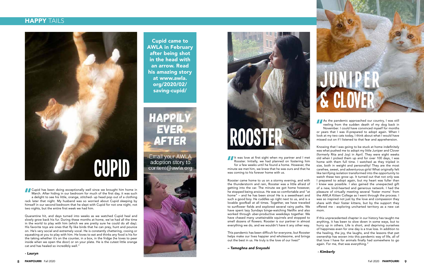As the pandemic approached our country, I was still<br>reeling from the sudden death of my dog back in<br>November. I could have convinced myself for months<br>or vears that I was ill-prepared to adopt again. When I reeling from the sudden death of my dog back in November. I could have convinced myself for months or years that I was ill-prepared to adopt again. When I look at my two cats today, I think about what I would have missed out on if I listened to that fear and apprehension.

Knowing that I was going to be stuck at home indefinitely was what pushed me to adopt my little Juniper and Clover (formerly Rita and Joy) in April. They were eight weeks old when I picked them up and for over 100 days, I was home with them full time. I watched as they tripled in size, both in weight and personality! They are the most carefree, sweet, and adventurous girls! What originally felt like terrifying isolation transformed into the opportunity to watch these two grow up. It turned out that not only was I prepared to adopt again, but my heart was fuller than I knew was possible. I also gained the unexpected gift of a new, kind-hearted and generous network. I had the pleasure of virtually meeting several 'foster moms' from the AWLA Kitten College as I went through the process. I was so inspired not just by the love and compassion they share with their foster kittens, but by the support they offered me - exploring uncharted territory as a new cat mom.

It was love at first sight when my partner and I met<br>Rooster. Initially, we had planned on fostering him<br>for a few weeks until he found a home. However, the<br>minute we met him we knew that he was ours and that he Rooster. Initially, we had planned on fostering him for a few weeks until he found a home. However, the minute we met him, we knew that he was ours and that he was coming to his forever home with us.

> If this unprecedented chapter in our history has taught me anything, it has been to slow down in some ways, but to hurry up in others. Life is short, and depriving ourselves of happiness even for one day is a true loss. In addition to the healing, the joy, the laughs, and the lessons that pet ownership has woven into this pandemic way of life, all of that love I have for animals finally had somewhere to go again. For me, that was everything."

I Cupid has been doing exceptionally well since we brought him home in<br>March. After hiding in our bedroom for much of the first day, it was such<br>a delight to see his little, orange, stitched- up head pop out of a clothing<br> March. After hiding in our bedroom for much of the first day, it was such a delight to see his little, orange, stitched- up head pop out of a clothing rack later that night. My husband was so worried about Cupid sleeping by himself in our second bedroom that he slept with Cupid for not one night, not two nights, but the entire first week we had him.

#### - Kimberly



Rooster came home to us on a stormy evening, and with the thunderstorm and rain, Rooster was a little afraid of getting into the car. The minute we got home however, he stopped being anxious. He was so comfortable and "at home" – and he has been since! He is a sweetheart and such a good boy. He cuddles up right next to us, and is a lovable goofball at all times. Together, we have traveled to sunflower fields and explored several rainy paths. We have spent lazy Sundays binge-watching Netflix and also worked through uber-productive weekdays together. We have chased many unattainable squirrels and stopped to smell dozens of flowers. Rooster is our partner in almost everything we do, and we wouldn't have it any other way.

This pandemic has been difficult for everyone, but Rooster helps make our lives happier and wholesome, and brings out the best in us. He truly is the love of our lives!"

– Tamoghna and Sreyoshi



Quarantine hit, and days turned into weeks as we watched Cupid heal and slowly grow back his fur. During these months at home, we've had all the time in the world to play with him (which we are pretty sure he could do all day). His favorite toys are ones that fly like birds that he can prey, hunt and pounce on. He's very social and extremely vocal. He is constantly chattering, cooing or squeaking at you to play with him. He loves to eat and thinks any food is his for the taking whether it's on the counter, in a box, in the fridge (he loves to peer inside when we open the door) or on your plate. He is the cutest little orange cat and has healed so incredibly well."

- Lauryn

## **HAPPY TAILS**



Cupid came to AWLA in February after being shot in the head with an arrow. Read his amazing story at www.awla. org/2020/02/ saving-cupid/



Email your AWLA adoption story to content@awla.org

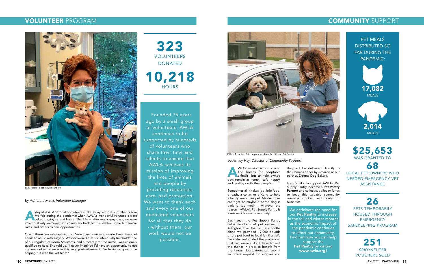PET MEALS DISTRIBUTED SO FAR DURING THE PANDEMIC:

323 VOLUNTEERS DONATED 10,218

> NEEDED EMERGENCY VET **ASSISTANCE**





2,014 MEALS

\$25,653

WAS GRANTED TO



# 26

PETS TEMPORARILY HOUSED THROUGH **EMERGENCY** SAFEKEEPING PROGRAM

## VOLUNTEER PROGRAM COMMUNITY SUPPORT

day at AWLA without volunteers is like a day without sun. That is how we felt during the pandemic when AWLA's wonderful volunteers were asked to stay safe at home. Thankfully, after many grey days, we were able to slowly w day at AWLA without volunteers is like a day without sun. That is how we felt during the pandemic when AWLA's wonderful volunteers were asked to stay safe at home. Thankfully, after many grey days, we were roles, and others to new opportunities.

Founded 75 years ago by a small group of volunteers, AWLA continues to be supported by hundreds of volunteers who share their time and talents to ensure that AWLA achieves its mission of improving the lives of animals and people by providing resources, care, and protection. We want to thank each and every one of our dedicated volunteers for all that they do - without them, our work would not be possible.

by Adrienne Mintz, Volunteer Manager

WLA's mission is not only to<br>find homes for adoptable<br>animals, but to help owned<br>pets remain at home - safe, happy, WLA's mission is not only to find homes for adoptable **A** animals, but to help owned and healthy - with their people.

One of these new roles was with our Veterinary Team, who needed an extra set of hands to assist with surgery. We discovered that volunteer Sally Reinholdt, one of our regular Cat Room Assistants, and a recently retired nurse, was uniquely qualified to help. She told us, "I never imagined I'd have an opportunity to use my years of experience in this way, post-retirement. I'm having a great time helping out with the vet team."



Sally ready to assist with surgery

Sometimes all it takes is a little food, a leash, a collar, or a Kong to help a family keep their pet. Maybe times are tight or maybe a bored dog is barking too much - whatever the reason - AWLA's Pet Supply Pantry is a resource for our community.

Each year, the Pet Supply Pantry helps hundreds of pet owners in Arlington. Over the past few months alone we provided 17,000 pounds of dry pet food to local families. We have also automated the process so that pet owners don't have to visit the shelter in order to benefit from the Pantry. Now patrons can submit an online request for supplies and

by Ashley Hay, Director of Community Support

We anticipate the need for our Pet Pantry to increase in the fall and winter months as the economic impact of the pandemic continues to affect our community. Find out how you can help support the Pet Pantry by visiting www.awla.org!

they will be delivered directly to their homes either by Amazon or our

partner, Dogma Dog Bakery.

If you'd like to support AWLA's Pet Supply Pantry, become a Pet Pantry Partner and collect supplies or funds to keep this valuable community resource stocked and ready for business!

Office Associate Erin helps a local family with our Pet Pantry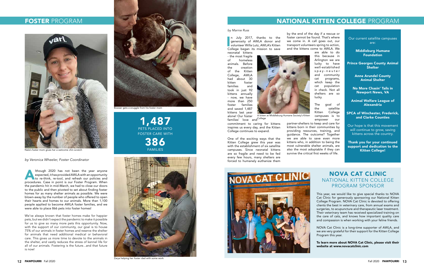#### by Marnie Russ

In July 2017, thanks to the<br>generosity of AWLA donor and<br>volunteer Willa Lutz, AWLA's Kitten<br>College began its mission to save n July 2017, thanks to the generosity of AWLA donor and College began its mission to save neonatal kittens

families' love and College commitment to caring for kittens inspires us every day, and the Kitten College continues to expand.

- the most fragile of homeless animals. Before the creation of the Kitten College, AWLA had about 30 kitten foster families and took in just 92 kittens annually - now, we have more than 250 foster families and saved 1,487 kittens last year alone! Our foster

One of the exciting ways that the Kitten College grew this year was with the establishment of six satellite campuses. Since neonatal kittens are so fragile and need to be fed every few hours, many shelters are forced to humanely euthanize them

Prince Georges County Animal **Shelter** 

by the end of the day if a rescue or foster cannot be found. That's where we come in. A call goes out, our transport volunteers spring to action, and the kittens come to AWLA. We are able to do this because in Arlington we are

lucky to have well-established s p a y - n e u t e r and community cat programs, which keep the cat population in check. Not all shelters are so lucky.

The goal of the satellite Kitten College campuses is to empower our partner-shelters to keep and care for kittens born in their communities by providing resources, training, and guidance. The outcome? Together we are able to save even more kittens who, in addition to being the most vulnerable shelter animals, are also the most adoptable if they can survive the critical first weeks of life.



Nala's foster mom gives her a welcome chin scratch

Our current satellite campuses are:

> Middleburg Humane Foundation

Ithough 2020 has not been the year anyone<br>expected, it has provided AWLA with an opportunity<br>to re-think, re-tool, and refresh our policies and<br>procedures. Case in point is our Foster Program. When lthough 2020 has not been the year anyone expected, it has provided AWLA with an opportunity to re-think, re-tool, and refresh our policies and the pandemic hit in mid-March, we had to close our doors to the public and then pivoted to set about finding foster homes for as many shelter animals as possible. We were blown-away by the number of people who offered to open their hearts and homes to our animals. More than 1,100 people applied to become AWLA foster families, and we were able to place 866 pets into foster homes!

Anne Arundel County Animal Shelter

No More Chasin' Tails in Newport News, VA

Animal Welfare League of Alexandria

SPCA of Winchester, Frederick, and Clarke Counties

Our hope is that this movement will continue to grow, saving kittens across the country.

Thank you for your continued support and dedication to the Kitten College!

## NOVA CAT CLINIC NATIONAL KITTEN COLLEGE PROGRAM SPONSOR

This year, we would like to give special thanks to NOVA Cat Clinic for generously sponsoring our National Kitten College Program. NOVA Cat Clinic is devoted to offering clients the best in veterinary care, from annual exams and surgeries, to acupuncture and therapeutic laser treatment. Their veterinary team has received specialized training on the care of cats, and knows how important quality care and compassion is when working with your feline friends.

NOVA Cat Clinic is a long-time supporter of AWLA, and we are very grateful for their support for the Kitten College Program this year.

To learn more about NOVA Cat Clinic, please visit their website at www.novacatclinic.com

by Veronica Wheeler, Foster Coordinator

We've always known that foster homes make for happier pets, but we didn't expect the pandemic to make it possible for us to give so many more pets this opportunity. Now, with the support of our community, our goal is to house 75% of our animals in foster homes and reserve the shelter for animals that need additional medical or behavioral care. This gives us more time to devote to the animals in the shelter, and vastly reduces the stress of kennel life for all of our animals. Fostering is the future...and that future is now!

1,487 PETS PLACED INTO FOSTER CARE WITH 386 FAMILIES







Bowser gets a snuggle from his foster mom

Zarya helping her foster dad with some work

## FOSTER PROGRAM NATIONAL KITTEN COLLEGE PROGRAM



A kitten at Middleburg Humane Society's Kitten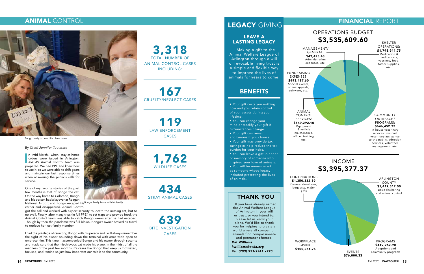In mid-March, when stay-at-home<br>orders were issued in Arlington,<br>AWLA's Animal Control team was<br>prepared. We had PPE and knew how n mid-March, when stay-at-home orders were issued in Arlington, AWLA's Animal Control team was to use it, so we were able to shift gears and maintain our fast response times when answering the public's calls for service.

National Airport and Bongo escaped his<sup>Bongo, finally home with his family</sup> carrier and disappeared. Animal Control

One of my favorite stories of the past few months is that of Bongo the cat. On the way home to Colorado, Bongo and his person had a layover at Reagan

got the call and worked with airport security to locate the missing cat, but to no avail. Finally, after many trips (in full PPE!) to set traps and provide food, the Animal Control team was able to catch Bongo weeks after he had escaped. Though by then the pandemic was full blown, Bongo's owner braved air travel to retrieve her lost family member.

I had the privilege of reuniting Bongo with his person and I will always remember the sight of his owner bounding down the terminal with arms wide open to embrace him. This time, I accompanied Bongo and his owner through security and made sure that the mischievous cat made his plane. In the midst of all the madness of the past few months, it's cases like Bongo that keep us motivated, focused, and remind us just how important our role is to the community.

WORKPLACE GIVING \$100,264.75

3,318

TOTAL NUMBER OF ANIMAL CONTROL CASES INCLUDING:

167

CRUELTY/NEGLECT CASES

LAW ENFORCEMENT CASES

1,762

WILDLIFE CASES

434

STRAY ANIMAL CASES

639

BITE INVESTIGATION CASES

9

## FINANCIAL REPORT





FUNDRAISING EXPENSES: \$493,497.60 Special events, online appeals, software, etc.

ANIMAL

CONTROL SERVICES: \$549,292.10 Equipment & vehicle maintenance, officer training, etc.

CONTRIBUTIONS \$1,350,332.39 General donations, bequests, major gifts

## ANIMAL CONTROL



#### By Chief Jennifer Touissant

Bongo ready to board his plane home

• Your gift costs you nothing now and you retain control of your assets during your lifetime.

• You can change your mind or modify your gift if circumstances change.

• Your gift can remain anonymous if you choose.

• Your gift may provide tax savings or help reduce the tax burden for your heirs.

• You can leave a gift in honor or memory of someone who inspired your love of animals.

• You will be remembered

as someone whose legacy included protecting the lives of animals.

## LEGACY GIVING

## LEAVE A LASTING LEGACY

Making a gift to the Animal Welfare League of Arlington through a will or revocable living trust is a simple and flexible way to improve the lives of animals for years to come.

## BENEFITS

## THANK YOU

If you have already named the Animal Welfare League of Arlington in your will or trust, or you intend to, please let us know your plans. We'd like to thank you for helping to create a world where all companion animals find compassionate and permanent homes.

Kat Williams

kwilliams@awla.org Tel: (703) 931-9241 x220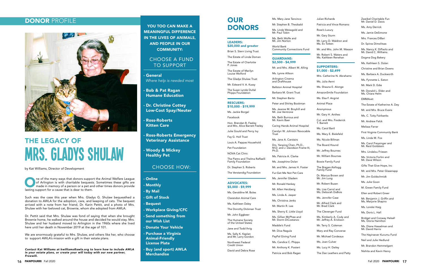## **DONOR PROFILE**



# THE LEGACY OF Mrs. Gladys Shulaw

## YOU TOO CAN MAKE A MEANINGFUL DIFFERENCE IN THE LIVES OF ANIMALS, AND PEOPLE IN OUR COMMUNITY:

**General** Where help is needed most

## CHOOSE A FUND TO SUPPORT

- Bob & Pat Ragan Humane Education
- Dr. Christine Cottey Low-Cost Spay/Neuter
- Ross-Roberts Kitten Care
- Ross-Roberts Emergency Veterinary Assistance
- Woody & Mickey Healthy Pet

**O** lasting support for a cause that is dear to them.<br>
In a cause that is dear to them. ne of the many ways that donors support the Animal Welfare League of Arlington is with charitable bequests. Sometimes these gifts are made in memory of a person or a pet and other times donors provide

## CHOOSE HOW:

- **Online**
- Monthly
- By Mail
- Gift of Stock
- Bequest
- Workplace Giving/CFC
- Send something from our Wish List
- Donate Your Vehicle
- Purchase a Virginia Animal-Friendly License Plate
- Buy (and sport) AWLA **Merchandise**

## OUR **DONORS**

Such was the case this year when Mrs. Gladys G. Shulaw bequeathed a donation to AWLA for the adoption, care, and keeping of cats. The bequest arrived with a note from her friend, Dr. Karin Pettit, and a photo of Mrs. Shulaw with her beloved cat, Brownie, whom she adopted from AWLA.

Dr. Pettit said that Mrs. Shulaw was fond of saying that when she brought Brownie home, he walked around the house and decided he would stay. Mrs. Shulaw and her husband moved to Arlington in the 1960s where she lived here until her death in November 2019 at the age of 101.

We are enormously grateful to Mrs. Shulaw, and others like her, who choose to support AWLA's mission with a gift in their estate plans.

Contact Kat Williams at kwilliams@awla.org to learn how to include AWLA in your estate plans, or create your will today with our new partner, Freewill.

by Kat Williams, Director of Development

#### LEADERS:

\$20,000 and greater

Brian S. Stern Living Trust

The Estate of Linda Doman

The Estate of Charlotte P. Jones

The Estate of Marilyn Louise Wolford

The Gladys Shulaw Trust

Mr. Edward V. A. Kussy

The Susan Lynde DuVal Phipps Foundation

#### RESCUERS: \$10,000 - \$19,999

Ms. Jackie Borgel

Facebook

Hon. Brendan B. Feeley and Mrs. Alice Barrett Feeley

Julie Gould and Percy Ivy

Fay G. Holl Trust

Louis A. Pappas Household

Pet Foundation

NOVA Cat Clinic

The Pietro and Thelma Raffaelli Family Foundation

Dr. Stephen S. Roberts

The Verstandig Foundation

#### ADVOCATES: \$5,000 - \$9,999

Ms. Geraldine M. Boles

Clarendon Animal Care

Ms. Kathleen Daley The Dorothy Dickman Trust

Mr. John Eggbeer

The Humane Society of the United States

Ms. Carol Freysinger and Mr. Reid Goldstein

Jane and Todd Ihrig

Ms. Sally K. Kaplan and Mr. Larry Gordon

Northwest Federal Credit Union

David and Debra Rose

Ms. Mary Jane Tancinco

Mr. Stephen B. Theobald

Ms. Linda Weissgold and Mr. Paul Tobin

Ms. Beth Wolfe and Mr. Jim Norton

World Bank Community Connections Fund

#### GUARDIANS: \$2,500 - \$4,999

Mr. and Mrs. Albert M. Alling

Ms. Lynne Allison

Arlington Cinema and Drafthouse

Ballston Animal Hospital

Barbara M. Grant Trust

Mr. Stephen Barto

Peter and Shirley Bookman

Ms. Jeanne M. Broyhill and Mr. Joe Ventrone

Ms. Beth Burrous and Mr. Kevin Baer

Caring Hands Animal Hospital

Carolyn W. Johnson Revocable Trust

Ms. Jane A. Carstairs

Drs. Yanping Chen, Ph.D., M.D. and J. Davidson Frame III, Ph.D.

Ms. Patricia A. Clarke

Ms. Josephine Dolan Mr. and Mrs. James H. Foster

Fur-Get Me Not Pet Care

Ms. Jennifer Gladem

Mr. Ronald Hankey Mr. Allen Herzberg

Ms. Linda A. Jasper

Ms. Christina Jenks

Mr. Martin R. Lee

Ms. Sherry E. Little Lloyd

Ms. Gillian McPhee and

Mr. Storm DiCostanzo

Maddie's Fund

Mr. Diva Nagula

- PayPal Giving Fund
- Ms. Candice C. Phipps
- Mr. Anthony K. Postert

Patricia and Bob Ragan

Julian Richards

Patricia and Vince Romano

Rose's Luxury

Mr. Gary Sturm

Mr. Larry D. Waldron and Ms. Ev Totten

Mr. and Mrs. John M. Wasson

Mr. Robert S. Waters and Ms. Kathleen Renehan

#### SUPPORTERS: \$1,000 - \$2,499

Mrs. Catherine N. Abrahams

Ms. Julia Aerni

Ms. Shauna E. Alonge

AmazonSmile Foundation

Ms. Elsa F. Angrist

Animal Place

Anonymous

Mr. Gary H. Anthes

Col. and Mrs. Frederick T. Barrett

Ms. Carol Bartl

Ms. Mary E. Bielefeld

Ms. Nicole Billman

The Board Hound

Mr. Jeffrey Bournes

Mr. William Bournes

Bowie Family Fund

The Bragan-Kellogg Family Fund

Dr. Marcus Brown and Mr. Jim Lung

Mr. Robert Buzan

Ms. Lisa Carrol and Ms. Deborah DuBois

Ms. Jennifer Case

Mr. Alfred Clark and Mr. Brad Clark

The Clevenger Fund

Ms. Kimberly A. Cody and Mr. Jeffrey A. Erickson

Mr. Terry S. Coleman

Mary and Ray Converse

Mr. Michael Cordeaux

Ms. Joan Culver

Ms. Lucy H. Dailey

The Dan Leathers and Patty

Zweibel Charitable Fun Mr. Daniel D. Davis

Ms. Amy Derrick

Ms. Jamie DeSimone

Mrs. Frances DiBari

Dr. Spiros Dimolitsas

Ms. Nancy K. DiPaolo and Mr. David C. Williams

Dogma Dog Bakery

Ms. Kathleen S. Dolan

Christine and Brian Downs

Ms. Barbara A. Duckworth

Ms. Fynnette L. Eaton

Mr. Mark D. Edie

Mr. Donald L. Elder and Ms. Chiara Helm

EMMAvet

The Estate of Katherine A. Dey

Mr. and Mrs. Bruce Evans

Ms. C. Tutty Fairbanks

Mr. Andrew Falck

Melissa Farrar

First Virginia Community Bank

Ms. Linda M. Fox

Mrs. Lindalou Friesen

Ms. Victoria Forlini and Mr. Dave Wilson

Gifts That Give Hope, Inc

Mr. and Mrs. Peter Glasenapp

Mr. Jim Goldschmidt

Ms. Julie Goon

M. Green Family Fund

Ellen and Robert Greer

Mr. Benjamin J. Griffin and Ms. Marjorie Shapiro

Ms. Lorelei Haig

Ms. Doris L. Hall

Bridget and Conway Halsall Ms. Gloria Hamilton

Ms. Diane Hasselman and Mr. David Harris

The Hayirsever Kurumu Fund

Neil and Julie Hedlund

Mr. Brandon Hemmelgarn

Nishita and Kevin Henry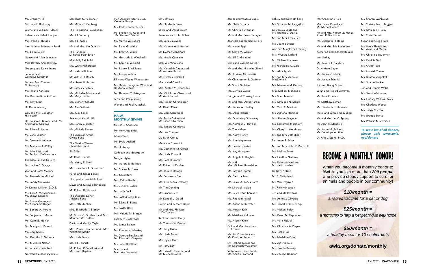- Mr. Gregory Hill
- Ms. Julia F. Holloway
- Jayme and William Huleatt
- Rebecca and Mark Huppert
- Mrs. Irene S. Husson
- International Monetary Fund
- Ms. Linda E. Iseli
- Nancy and Allen Jennings
- Miss Beverly Ann Johnson
- Gregory and Dawn Jones
- Jennifer and Cornelius Kaestner
- Mr. and Mrs. Thomas G. Kamasky
- Mrs. Maria Karlsson
- The Karstaedt Sacks Fund
- Ms. Amy Klein
- Dr. Kevin Koernig
- Col. and Mrs. Jonathan H. Kosarin
- Dr. Reshma Kumar and Mr. Krishnadev Calamur
- Ms. Diane S. Large
- Ms. Jane Larimer
- Mr. Darrow P. Leibner
- Ms. Marianne LePelley
- Mr. John Light and Ms. Molly L. DeBusschere
- Theodore and Willa Lutz
- Ms. Janice C. Maggs
- Walt and Carol Mallory
- Ms. Bernadette Michael
- Mr. Randy Mieskoski
- Dr. Dennis Milliron, D.D.S.
- Ms. Lori A. Minichini and Mr. Shawn Sansom
- Mr. Adam Moore and Ms. Stephanie Hogan
- Ms. Sandra A. Moore
- Mr. Benjamin L. Morse
- Ms. Carol E. Moylan
- Ms. Marilyn L. Muench
- Mr. Gary Myers
- Ms. Dorothy R. Nakama
- Ms. Michaela Nelson
- Arthur and Kristin Noll
- Northside Veterinary Clinic
- Ms. Janet C. Peckarsky Ms. Miriam F. Perlberg The Pledgeling Foundation Ms. Jill Pomeroy Ms. Jill Ptacek Mr. and Mrs. Jim Quinlan The Randolph D. Rouse Foundation Mrs. Sally Reinholdt Ms. Lynne Richardson Mr. Joshua Richter Mr. Arthur H. Roach Mrs. Janet H. Sasser Mr. James V. Schick Ms. Michelle Schohn and Ms. Mary Glantz Ms. Bethany Schultz Ms. Ann Seibert Ms. Judy Sever Seward & Kissel LLP Ms. Ronny L. Shafer Ms. Michele Sharon The Sherman-Onishi Giving Fund The Shields-Werner Charitable Fund Sit-A-Pet Mr. Kent L. Smith Ms. Nancy E. Snell Ms. Constance E. Sorrentino Karen and James Sowell The Sparks Charitable Fund David and Justine Springberg Mr. Robert B. Stewart The Stoobler Donor Advised Fund Ms. Dotti Stopher Mrs. Elizabeth A. Storley Mr. Victor G. Stotland and Ms. Maureen W. Stotland David and Marilyn Taylor Ms. Paula Thiede and Mr. Wakefield Martin Ms. Linda Travis

Ms. Jill I. Tunick

Mr. Robert K. VanHoek and Ms. Laura Dryden

- VCA Animal Hospitals Inc. Vexterra Group
- Ms. Carla von Bernewitz
- Ms. Shelley M. Wade and Mr. Steven P. Slinker
- Mr. Marvin Weissberg
- Ms. Dana G. White
- Ms. Emily A. White
- Ms. Gertrude L. Wieckoski
- Ms. Karen L. Williams
- Ms. Nancy E. Williams
- Ms. Louise Wilson
- Ellin and Wayne Winegarden
- Ms. Karen Baragona Wise and Dr. Andrew Wise
- Mr. Thurston T. Yokoyama
- Terry and Philip Young
- Wendy and Paul Yurachek

#### P.A.W. MONTHLY GIVING

- Mrs. P. E. Anderson Ms. Amy Angelides Anonymous Ms. Lydia Arshadi Dr. Jill Aubry Cathleen and George Ax Morgan Aylor Ms. Aurora R. Bafrnec Ms. Stacee N. Bako Ms. Carol Bartl Mrs. Rekha Bartlett Ms. Jennifer Baskin Ms. Judy Beck Mr. Rachid Benjelloun Ms. Diane E. Bente Ms. Taylor Best Mrs. Valerie M. Blitgen Elisabeth Blotevogel Mr. James Bohan Ms. Kimberly Bolinskey Mr. George Bowles and Ms. Elizabeth Cheyney Ms. Janel Brattland Martha and
- Matthew Braunstein
- Mr. Jeff Bray Ms. Elizabeth Brown Lorrie and David Brown Jewellee and John Buhler Ms. Sara Bukovnik Ms. Madeleine S. Burton Mr. Nathan Canestaro Ms. Nicole Cannavo Mrs. Valentina Cano Ms. Meredith Capps and Mr. Andrew Racca Ms. Cynthia Carabelli Mrs. Isabel Castillo Mrs. Kirsten M. Chaconas Ms. Michiko A. Chand and Mr. Amit Patnaik Ms. Robbin Christianson Mr. David Clark Ms. Gary Clemmons Ms. Sacha Cohen and Mr. Jason Silverman Ms. Tamara Comiskey Ms. Lee Cooper Dr. Sarah Corley Ms. Katie Corradini Ms. Catherine M. Cortes Ms. Linda Councill Ms. Rachel Cramer Mr. Robert J. Dahlke Ms. Jessica Darago Ms. Francesca Dea Ms. J. Rebecca Deloney Mr. Tim Denning Ms. Susan Dietz Mr. Kendall J. Dood Evelyn and Bernard Doyle Mr. and Mrs. Philippe L. DuChateau Kent and Jamie Duffy Mr. Thomas W. Dunbar Ms. Kelly Dunn Ms. Linda Dunn Mrs. Sylvia Durn Mr. Terry Eby Ms. Erika D. Elvander and

Mr. Michael Bobrik

James and Vanessa Engle Ms. Nelly Estrada Mr. Christian Everman Mr. and Mrs. Sean Flanagan Jeanette and Benjamin Ford Ms. Karen Fygi Mr. Steve M. Garron Ms. Jill C. Garzone Chris and Cynthia Getner Mr. and Mrs. Nicholas Gimmi Ms. Adriana Giovanetti Mr. Christopher B. Godman Mr. Steve Gullette Ms. Cynthia Gurne Bridget and Conway Halsall Mr. and Mrs. David Hardin Mr. James W. Hartley Ms. Doris Hausser Ms. DonnaJoy G. Hawley Ms. Kathleen J. Hayden Mr. Tim Hefner Ms. Kathy Henry Ms. Ann Hightower Ms. Susan Honaker Ms. Kay Houghton Ms. Angela L. Hughes Mr. and Mrs. Michael Humelsine Ms. Geyssie Ingram Ms. Beth Jachim Ms. Leslie A. Jones-Parra Mr. Michael Kaplan Ms. Leyla Derin Karakas Ms. Poonam Katyal Ms. Alison A. Kerester Ms. Megan Kirin Mr. Matthew Kirkham Ms. Kristen Klein Col. and Mrs. Jonathan H. Kosarin Ms. Joi C. Kudirka and Mr. David A. Rensch Dr. Reshma Kumar and Mr. Krishnadev Calamur Victoria and Brian Lamb Ms. Anne E. Lamond

Ashley and Kenneth Lang

Ms. Suzanne M. Langsdorf Dr. Jessica Lautz and Mr. Thomas J. Doyle Mr. and Mrs. Frank Lee Ms. Joanne Lester Aric and Mingkwan Letzring Mrs. Wyetha Lipford Mr. Michael Loatman Ms. Geraldine C. Lyda Ms. Alice Lynch Mr. and Mrs. Andrew MacDonald Ms. Marianne McDermott Miss Mallory McKenzie Ms. Sheri Maeda Ms. Kathleen N. Marsh Mr. Marc A. Martinez Ms. Adriana Martinez Mrs. Rachel Mayman Ms. Samantha Melchiorri Ms. Cheryl L. Mendonsa Mr. and Mrs. Jeff Miller Dr. James R. Mize Mr. and Mrs. John P. Morris, III Ms. Melissa Mott Ms. Heather Nadolny Ms. Rebecca Neal and Mr. Kevin Jordan Dr. Katy Nelson Mr. S. Philip Neri Mr. Mike Nguyen Mr. Richky Nguyen Jen and Mark Norris Ms. Annette Oliveras Mr. Robert E. Osterberg Mr. Michael Paley Ms. Karen M. Papouleas Mr. Mark Pickrell Ms. Christine A. Pieper Ms. Tasha Poe Ms. Madeline Priest Ms. Aja Puapolo Ms. Jasmin Ramsey Ms. Jocelyn Redman

Ms. Annamarie Reid Mrs. Laura Ricard and Mr. Michael Ricard Mr. and Mrs. Robert G. Risney R. and K. Robinson Ms. Elizabeth H. Rood Mr. and Mrs. Eric Rosenquist Katharine and Richard Rossier Keri Sadley Ms. Jessica L. Sanders Dr. Andrew Sayer Mr. James V. Schick Mr. Joshua Schmid T.R. and Becky Schmitt Sarah and Robert Schraven Ms. Tara K. Selario Mr. Matthew Seman Ms. Elizabeth L. Shumate Marie and Samuel Spaulding Mr. and Mrs. Ian C. Spring Mr. John A. Stanfield Mr. Aaron M. Still and Ms. Penelope A. Rice Dr. Ann L. Stone, Ph.D.

Ms. Sharon Swinburne Mr. Christopher J. Taggart Ms. Kathleen I. Taimi Mr. Corie Tarbet Susan and Gregg Tate Ms. Paula Thiede and Mr. Wakefield Martin Ms. Christina Thuermer Ms. Patricia Todd Mr. Arthur Tsao Ms. Hannah Turner Ms. Kristen Vangeloff Ms. Sharon Walker Jari and Donald Walsh Ms. Sarah Whitmore Ms. Lindsey Wilkins-Staley Ms. Charlene Woods Ms. Taryn Zastrow Ms. Brenda Zurita Ms. Patricia M. Zweibel

To see a list of all donors, please visit www.awla. org/donate

# **BECOME A MONTHLY DONOR!**

When you become a monthly donor to AWLA, you join more than 200 people who provide steady support to care for animals and people in our community!

### $$10/m$ onth =

a rabies vaccine for a cat or dog

## $$25/month =$

a microchip to help a lost pet find its way home

## $$50/month =$

a healthy meal for 10 shelter pets

## awla.org/donate/monthly